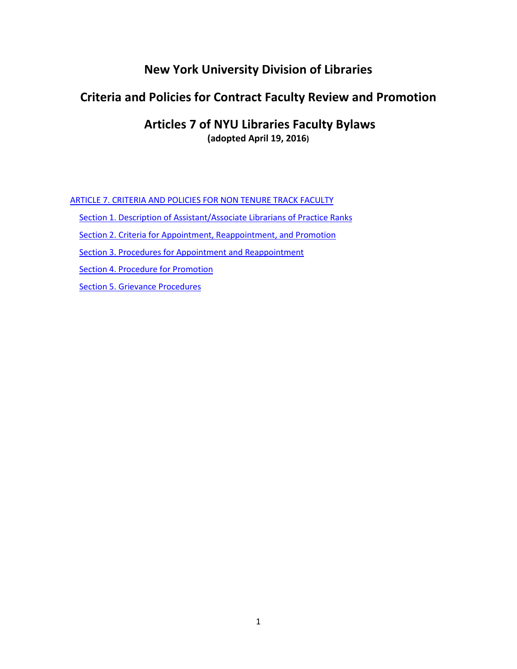# **New York University Division of Libraries**

# **Criteria and Policies for Contract Faculty Review and Promotion**

# **Articles 7 of NYU Libraries Faculty Bylaws (adopted April 19, 2016)**

ARTICLE 7. CRITERIA AND POLICIES FOR NON TENURE TRACK FACULTY

[Section 1. Description of Assistant/Associate Librarians of Practice Ranks](#page-1-0)

[Section 2. Criteria for Appointment, Reappointment, and Promotion](#page-2-0)

[Section 3. Procedures for Appointment and Reappointment](#page-3-0)

[Section 4. Procedure for Promotion](#page-3-1)

[Section 5. Grievance Procedures](#page-4-0)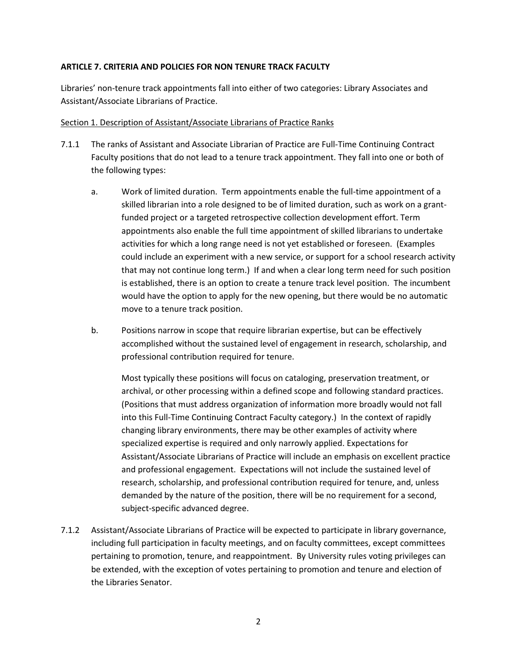#### **ARTICLE 7. CRITERIA AND POLICIES FOR NON TENURE TRACK FACULTY**

Libraries' non-tenure track appointments fall into either of two categories: Library Associates and Assistant/Associate Librarians of Practice.

#### <span id="page-1-0"></span>Section 1. Description of Assistant/Associate Librarians of Practice Ranks

- 7.1.1 The ranks of Assistant and Associate Librarian of Practice are Full-Time Continuing Contract Faculty positions that do not lead to a tenure track appointment. They fall into one or both of the following types:
	- a. Work of limited duration. Term appointments enable the full-time appointment of a skilled librarian into a role designed to be of limited duration, such as work on a grantfunded project or a targeted retrospective collection development effort. Term appointments also enable the full time appointment of skilled librarians to undertake activities for which a long range need is not yet established or foreseen. (Examples could include an experiment with a new service, or support for a school research activity that may not continue long term.) If and when a clear long term need for such position is established, there is an option to create a tenure track level position. The incumbent would have the option to apply for the new opening, but there would be no automatic move to a tenure track position.
	- b. Positions narrow in scope that require librarian expertise, but can be effectively accomplished without the sustained level of engagement in research, scholarship, and professional contribution required for tenure.

Most typically these positions will focus on cataloging, preservation treatment, or archival, or other processing within a defined scope and following standard practices. (Positions that must address organization of information more broadly would not fall into this Full-Time Continuing Contract Faculty category.) In the context of rapidly changing library environments, there may be other examples of activity where specialized expertise is required and only narrowly applied. Expectations for Assistant/Associate Librarians of Practice will include an emphasis on excellent practice and professional engagement. Expectations will not include the sustained level of research, scholarship, and professional contribution required for tenure, and, unless demanded by the nature of the position, there will be no requirement for a second, subject-specific advanced degree.

7.1.2 Assistant/Associate Librarians of Practice will be expected to participate in library governance, including full participation in faculty meetings, and on faculty committees, except committees pertaining to promotion, tenure, and reappointment. By University rules voting privileges can be extended, with the exception of votes pertaining to promotion and tenure and election of the Libraries Senator.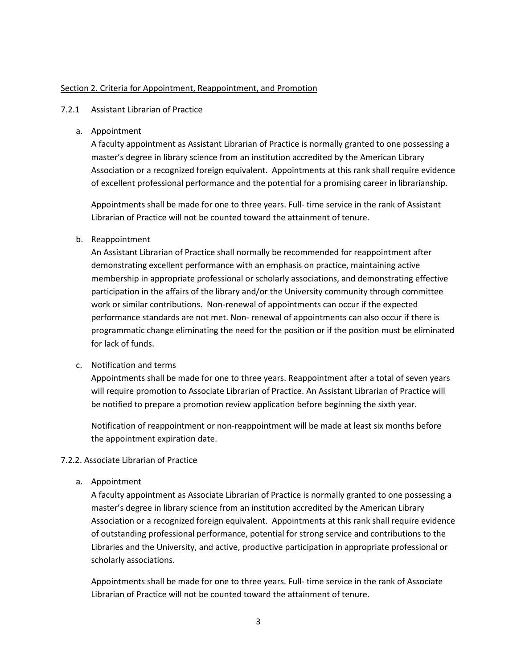#### <span id="page-2-0"></span>Section 2. Criteria for Appointment, Reappointment, and Promotion

#### 7.2.1 Assistant Librarian of Practice

a. Appointment

A faculty appointment as Assistant Librarian of Practice is normally granted to one possessing a master's degree in library science from an institution accredited by the American Library Association or a recognized foreign equivalent. Appointments at this rank shall require evidence of excellent professional performance and the potential for a promising career in librarianship.

Appointments shall be made for one to three years. Full- time service in the rank of Assistant Librarian of Practice will not be counted toward the attainment of tenure.

#### b. Reappointment

An Assistant Librarian of Practice shall normally be recommended for reappointment after demonstrating excellent performance with an emphasis on practice, maintaining active membership in appropriate professional or scholarly associations, and demonstrating effective participation in the affairs of the library and/or the University community through committee work or similar contributions. Non-renewal of appointments can occur if the expected performance standards are not met. Non- renewal of appointments can also occur if there is programmatic change eliminating the need for the position or if the position must be eliminated for lack of funds.

#### c. Notification and terms

Appointments shall be made for one to three years. Reappointment after a total of seven years will require promotion to Associate Librarian of Practice. An Assistant Librarian of Practice will be notified to prepare a promotion review application before beginning the sixth year.

Notification of reappointment or non-reappointment will be made at least six months before the appointment expiration date.

#### 7.2.2. Associate Librarian of Practice

a. Appointment

A faculty appointment as Associate Librarian of Practice is normally granted to one possessing a master's degree in library science from an institution accredited by the American Library Association or a recognized foreign equivalent. Appointments at this rank shall require evidence of outstanding professional performance, potential for strong service and contributions to the Libraries and the University, and active, productive participation in appropriate professional or scholarly associations.

Appointments shall be made for one to three years. Full- time service in the rank of Associate Librarian of Practice will not be counted toward the attainment of tenure.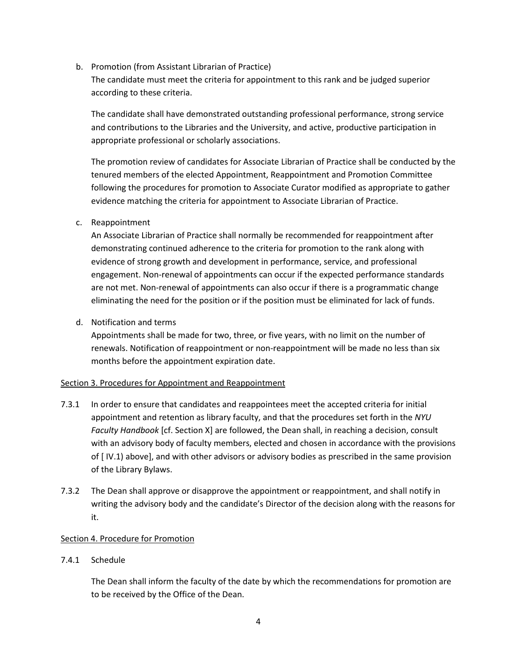b. Promotion (from Assistant Librarian of Practice)

The candidate must meet the criteria for appointment to this rank and be judged superior according to these criteria.

The candidate shall have demonstrated outstanding professional performance, strong service and contributions to the Libraries and the University, and active, productive participation in appropriate professional or scholarly associations.

The promotion review of candidates for Associate Librarian of Practice shall be conducted by the tenured members of the elected Appointment, Reappointment and Promotion Committee following the procedures for promotion to Associate Curator modified as appropriate to gather evidence matching the criteria for appointment to Associate Librarian of Practice.

### c. Reappointment

An Associate Librarian of Practice shall normally be recommended for reappointment after demonstrating continued adherence to the criteria for promotion to the rank along with evidence of strong growth and development in performance, service, and professional engagement. Non-renewal of appointments can occur if the expected performance standards are not met. Non-renewal of appointments can also occur if there is a programmatic change eliminating the need for the position or if the position must be eliminated for lack of funds.

d. Notification and terms

Appointments shall be made for two, three, or five years, with no limit on the number of renewals. Notification of reappointment or non-reappointment will be made no less than six months before the appointment expiration date.

# <span id="page-3-0"></span>Section 3. Procedures for Appointment and Reappointment

- 7.3.1 In order to ensure that candidates and reappointees meet the accepted criteria for initial appointment and retention as library faculty, and that the procedures set forth in the *NYU Faculty Handbook* [cf. Section X] are followed, the Dean shall, in reaching a decision, consult with an advisory body of faculty members, elected and chosen in accordance with the provisions of [ IV.1) above], and with other advisors or advisory bodies as prescribed in the same provision of the Library Bylaws.
- 7.3.2 The Dean shall approve or disapprove the appointment or reappointment, and shall notify in writing the advisory body and the candidate's Director of the decision along with the reasons for it.

# <span id="page-3-1"></span>Section 4. Procedure for Promotion

#### 7.4.1 Schedule

The Dean shall inform the faculty of the date by which the recommendations for promotion are to be received by the Office of the Dean.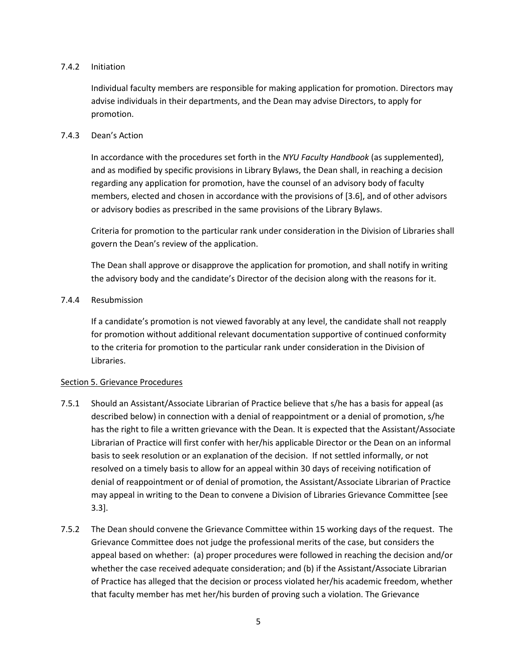#### 7.4.2 Initiation

Individual faculty members are responsible for making application for promotion. Directors may advise individuals in their departments, and the Dean may advise Directors, to apply for promotion.

#### 7.4.3 Dean's Action

In accordance with the procedures set forth in the *NYU Faculty Handbook* (as supplemented), and as modified by specific provisions in Library Bylaws, the Dean shall, in reaching a decision regarding any application for promotion, have the counsel of an advisory body of faculty members, elected and chosen in accordance with the provisions of [3.6], and of other advisors or advisory bodies as prescribed in the same provisions of the Library Bylaws.

Criteria for promotion to the particular rank under consideration in the Division of Libraries shall govern the Dean's review of the application.

The Dean shall approve or disapprove the application for promotion, and shall notify in writing the advisory body and the candidate's Director of the decision along with the reasons for it.

### 7.4.4 Resubmission

If a candidate's promotion is not viewed favorably at any level, the candidate shall not reapply for promotion without additional relevant documentation supportive of continued conformity to the criteria for promotion to the particular rank under consideration in the Division of Libraries.

#### <span id="page-4-0"></span>Section 5. Grievance Procedures

- 7.5.1 Should an Assistant/Associate Librarian of Practice believe that s/he has a basis for appeal (as described below) in connection with a denial of reappointment or a denial of promotion, s/he has the right to file a written grievance with the Dean. It is expected that the Assistant/Associate Librarian of Practice will first confer with her/his applicable Director or the Dean on an informal basis to seek resolution or an explanation of the decision. If not settled informally, or not resolved on a timely basis to allow for an appeal within 30 days of receiving notification of denial of reappointment or of denial of promotion, the Assistant/Associate Librarian of Practice may appeal in writing to the Dean to convene a Division of Libraries Grievance Committee [see 3.3].
- 7.5.2 The Dean should convene the Grievance Committee within 15 working days of the request. The Grievance Committee does not judge the professional merits of the case, but considers the appeal based on whether: (a) proper procedures were followed in reaching the decision and/or whether the case received adequate consideration; and (b) if the Assistant/Associate Librarian of Practice has alleged that the decision or process violated her/his academic freedom, whether that faculty member has met her/his burden of proving such a violation. The Grievance